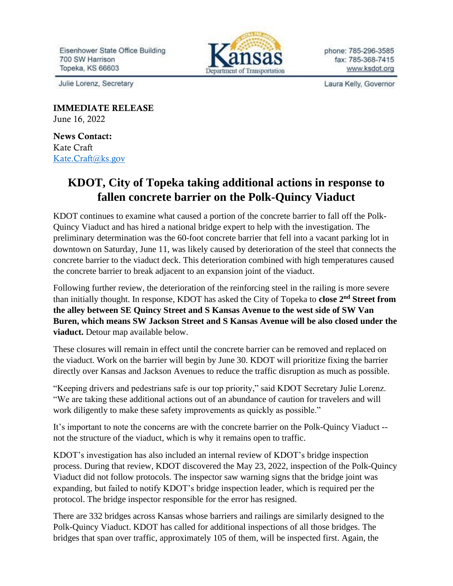Eisenhower State Office Building 700 SW Harrison Topeka, KS 66603



phone: 785-296-3585 fax: 785-368-7415 www.ksdot.org

Julie Lorenz, Secretary

Laura Kelly, Governor

IMMEDIATE RELEASE June 16, 2022

News Contact: Kate Craft [Kate.Craft@ks.gov](mailto:Kate.Craft@ks.gov)

## **KDOT, City of Topeka taking additional actions in response to fallen concrete barrier on the Polk-Quincy Viaduct**

KDOT continues to examine what caused a portion of the concrete barrier to fall off the Polk-Quincy Viaduct and has hired a national bridge expert to help with the investigation. The preliminary determination was the 60-foot concrete barrier that fell into a vacant parking lot in downtown on Saturday, June 11, was likely caused by deterioration of the steel that connects the concrete barrier to the viaduct deck. This deterioration combined with high temperatures caused the concrete barrier to break adjacent to an expansion joint of the viaduct.

Following further review, the deterioration of the reinforcing steel in the railing is more severe than initially thought. In response, KDOT has asked the City of Topeka to **close 2nd Street from the alley between SE Quincy Street and S Kansas Avenue to the west side of SW Van Buren, which means SW Jackson Street and S Kansas Avenue will be also closed under the viaduct.** Detour map available below.

These closures will remain in effect until the concrete barrier can be removed and replaced on the viaduct. Work on the barrier will begin by June 30. KDOT will prioritize fixing the barrier directly over Kansas and Jackson Avenues to reduce the traffic disruption as much as possible.

"Keeping drivers and pedestrians safe is our top priority," said KDOT Secretary Julie Lorenz. "We are taking these additional actions out of an abundance of caution for travelers and will work diligently to make these safety improvements as quickly as possible."

It's important to note the concerns are with the concrete barrier on the Polk-Quincy Viaduct - not the structure of the viaduct, which is why it remains open to traffic.

KDOT's investigation has also included an internal review of KDOT's bridge inspection process. During that review, KDOT discovered the May 23, 2022, inspection of the Polk-Quincy Viaduct did not follow protocols. The inspector saw warning signs that the bridge joint was expanding, but failed to notify KDOT's bridge inspection leader, which is required per the protocol. The bridge inspector responsible for the error has resigned.

There are 332 bridges across Kansas whose barriers and railings are similarly designed to the Polk-Quincy Viaduct. KDOT has called for additional inspections of all those bridges. The bridges that span over traffic, approximately 105 of them, will be inspected first. Again, the